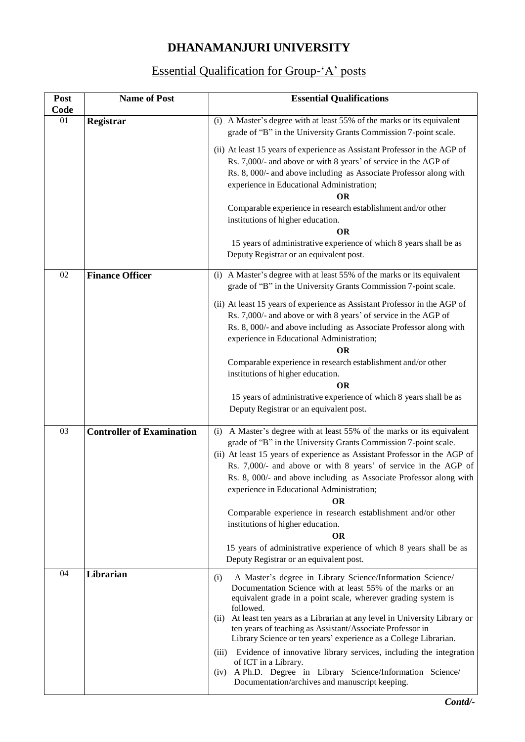## **DHANAMANJURI UNIVERSITY**

## Essential Qualification for Group-'A' posts

| Post<br>Code    | <b>Name of Post</b>              | <b>Essential Qualifications</b>                                                                                                                                                                                                                                                                                                                                                                                                                                                                                                                                                                                                                            |
|-----------------|----------------------------------|------------------------------------------------------------------------------------------------------------------------------------------------------------------------------------------------------------------------------------------------------------------------------------------------------------------------------------------------------------------------------------------------------------------------------------------------------------------------------------------------------------------------------------------------------------------------------------------------------------------------------------------------------------|
| 01              | <b>Registrar</b>                 | (i) A Master's degree with at least 55% of the marks or its equivalent<br>grade of "B" in the University Grants Commission 7-point scale.                                                                                                                                                                                                                                                                                                                                                                                                                                                                                                                  |
|                 |                                  | (ii) At least 15 years of experience as Assistant Professor in the AGP of<br>Rs. 7,000/- and above or with 8 years' of service in the AGP of<br>Rs. 8, 000/- and above including as Associate Professor along with<br>experience in Educational Administration;<br><b>OR</b>                                                                                                                                                                                                                                                                                                                                                                               |
|                 |                                  | Comparable experience in research establishment and/or other<br>institutions of higher education.<br>ОR                                                                                                                                                                                                                                                                                                                                                                                                                                                                                                                                                    |
|                 |                                  | 15 years of administrative experience of which 8 years shall be as<br>Deputy Registrar or an equivalent post.                                                                                                                                                                                                                                                                                                                                                                                                                                                                                                                                              |
| 02              | <b>Finance Officer</b>           | (i) A Master's degree with at least 55% of the marks or its equivalent<br>grade of "B" in the University Grants Commission 7-point scale.                                                                                                                                                                                                                                                                                                                                                                                                                                                                                                                  |
|                 |                                  | (ii) At least 15 years of experience as Assistant Professor in the AGP of<br>Rs. 7,000/- and above or with 8 years' of service in the AGP of<br>Rs. 8, 000/- and above including as Associate Professor along with<br>experience in Educational Administration;<br>ОR                                                                                                                                                                                                                                                                                                                                                                                      |
|                 |                                  | Comparable experience in research establishment and/or other<br>institutions of higher education.<br><b>OR</b>                                                                                                                                                                                                                                                                                                                                                                                                                                                                                                                                             |
|                 |                                  | 15 years of administrative experience of which 8 years shall be as<br>Deputy Registrar or an equivalent post.                                                                                                                                                                                                                                                                                                                                                                                                                                                                                                                                              |
| $\overline{03}$ | <b>Controller of Examination</b> | A Master's degree with at least 55% of the marks or its equivalent<br>(i)<br>grade of "B" in the University Grants Commission 7-point scale.<br>(ii) At least 15 years of experience as Assistant Professor in the AGP of<br>Rs. 7,000/- and above or with 8 years' of service in the AGP of<br>Rs. 8, 000/- and above including as Associate Professor along with<br>experience in Educational Administration;<br>ОR                                                                                                                                                                                                                                      |
|                 |                                  | Comparable experience in research establishment and/or other<br>institutions of higher education.                                                                                                                                                                                                                                                                                                                                                                                                                                                                                                                                                          |
|                 |                                  | <b>OR</b><br>15 years of administrative experience of which 8 years shall be as<br>Deputy Registrar or an equivalent post.                                                                                                                                                                                                                                                                                                                                                                                                                                                                                                                                 |
| 04              | Librarian                        | A Master's degree in Library Science/Information Science/<br>(i)<br>Documentation Science with at least 55% of the marks or an<br>equivalent grade in a point scale, wherever grading system is<br>followed.<br>At least ten years as a Librarian at any level in University Library or<br>(i)<br>ten years of teaching as Assistant/Associate Professor in<br>Library Science or ten years' experience as a College Librarian.<br>Evidence of innovative library services, including the integration<br>(iii)<br>of ICT in a Library.<br>A Ph.D. Degree in Library Science/Information Science/<br>(iv)<br>Documentation/archives and manuscript keeping. |